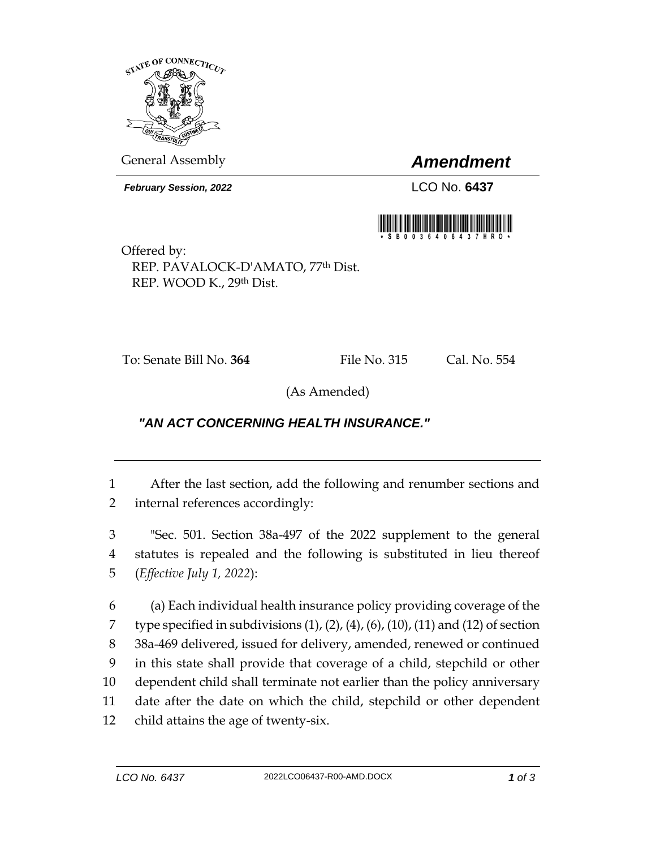

General Assembly *Amendment*

*February Session, 2022* LCO No. **6437**



Offered by: REP. PAVALOCK-D'AMATO, 77th Dist. REP. WOOD K., 29th Dist.

To: Senate Bill No. **364** File No. 315 Cal. No. 554

(As Amended)

## *"AN ACT CONCERNING HEALTH INSURANCE."*

1 After the last section, add the following and renumber sections and 2 internal references accordingly:

3 "Sec. 501. Section 38a-497 of the 2022 supplement to the general 4 statutes is repealed and the following is substituted in lieu thereof 5 (*Effective July 1, 2022*):

 (a) Each individual health insurance policy providing coverage of the 7 type specified in subdivisions  $(1)$ ,  $(2)$ ,  $(4)$ ,  $(6)$ ,  $(10)$ ,  $(11)$  and  $(12)$  of section 38a-469 delivered, issued for delivery, amended, renewed or continued in this state shall provide that coverage of a child, stepchild or other dependent child shall terminate not earlier than the policy anniversary date after the date on which the child, stepchild or other dependent child attains the age of twenty-six.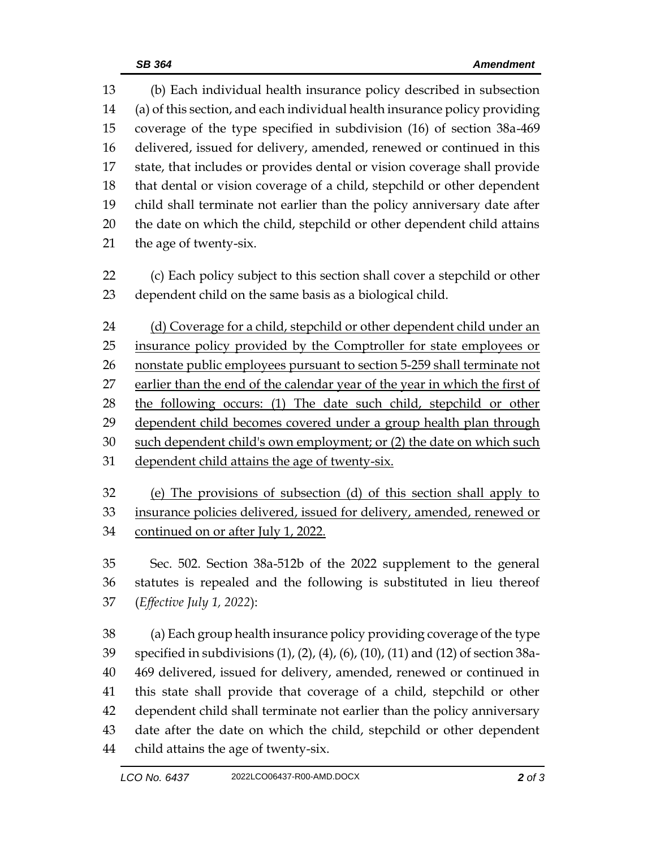(b) Each individual health insurance policy described in subsection (a) of this section, and each individual health insurance policy providing coverage of the type specified in subdivision (16) of section 38a-469 delivered, issued for delivery, amended, renewed or continued in this state, that includes or provides dental or vision coverage shall provide that dental or vision coverage of a child, stepchild or other dependent child shall terminate not earlier than the policy anniversary date after the date on which the child, stepchild or other dependent child attains the age of twenty-six.

 (c) Each policy subject to this section shall cover a stepchild or other dependent child on the same basis as a biological child.

 (d) Coverage for a child, stepchild or other dependent child under an insurance policy provided by the Comptroller for state employees or 26 nonstate public employees pursuant to section 5-259 shall terminate not earlier than the end of the calendar year of the year in which the first of the following occurs: (1) The date such child, stepchild or other dependent child becomes covered under a group health plan through such dependent child's own employment; or (2) the date on which such dependent child attains the age of twenty-six.

 (e) The provisions of subsection (d) of this section shall apply to insurance policies delivered, issued for delivery, amended, renewed or continued on or after July 1, 2022.

 Sec. 502. Section 38a-512b of the 2022 supplement to the general statutes is repealed and the following is substituted in lieu thereof (*Effective July 1, 2022*):

 (a) Each group health insurance policy providing coverage of the type specified in subdivisions (1), (2), (4), (6), (10), (11) and (12) of section 38a- 469 delivered, issued for delivery, amended, renewed or continued in this state shall provide that coverage of a child, stepchild or other dependent child shall terminate not earlier than the policy anniversary date after the date on which the child, stepchild or other dependent child attains the age of twenty-six.